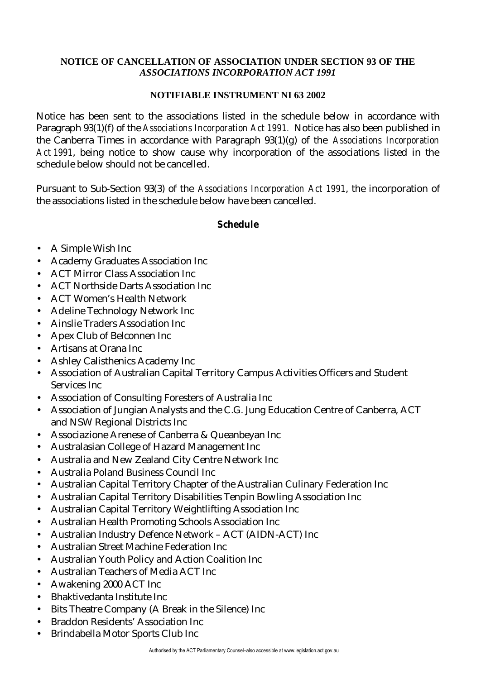## **NOTICE OF CANCELLATION OF ASSOCIATION UNDER SECTION 93 OF THE** *ASSOCIATIONS INCORPORATION ACT 1991*

## **NOTIFIABLE INSTRUMENT NI 63 2002**

Notice has been sent to the associations listed in the schedule below in accordance with Paragraph 93(1)(f) of the *Associations Incorporation Act 1991.* Notice has also been published in the Canberra Times in accordance with Paragraph 93(1)(g) of the *Associations Incorporation Act 1991*, being notice to show cause why incorporation of the associations listed in the schedule below should not be cancelled.

Pursuant to Sub-Section 93(3) of the *Associations Incorporation Act 1991*, the incorporation of the associations listed in the schedule below have been cancelled.

## **Schedule**

- A Simple Wish Inc
- Academy Graduates Association Inc
- ACT Mirror Class Association Inc
- ACT Northside Darts Association Inc
- ACT Women's Health Network
- Adeline Technology Network Inc
- Ainslie Traders Association Inc
- Apex Club of Belconnen Inc
- Artisans at Orana Inc
- Ashley Calisthenics Academy Inc
- Association of Australian Capital Territory Campus Activities Officers and Student Services Inc
- Association of Consulting Foresters of Australia Inc
- Association of Jungian Analysts and the C.G. Jung Education Centre of Canberra, ACT and NSW Regional Districts Inc
- Associazione Arenese of Canberra & Queanbeyan Inc
- Australasian College of Hazard Management Inc
- Australia and New Zealand City Centre Network Inc
- Australia Poland Business Council Inc
- Australian Capital Territory Chapter of the Australian Culinary Federation Inc
- Australian Capital Territory Disabilities Tenpin Bowling Association Inc
- Australian Capital Territory Weightlifting Association Inc
- Australian Health Promoting Schools Association Inc
- Australian Industry Defence Network ACT (AIDN-ACT) Inc
- Australian Street Machine Federation Inc
- Australian Youth Policy and Action Coalition Inc
- Australian Teachers of Media ACT Inc
- Awakening 2000 ACT Inc
- Bhaktivedanta Institute Inc
- Bits Theatre Company (A Break in the Silence) Inc
- Braddon Residents' Association Inc
- Brindabella Motor Sports Club Inc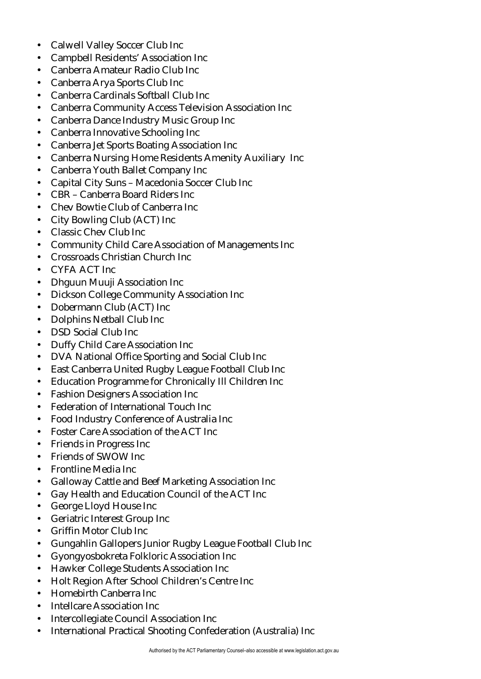- Calwell Valley Soccer Club Inc
- Campbell Residents' Association Inc
- Canberra Amateur Radio Club Inc
- Canberra Arya Sports Club Inc
- Canberra Cardinals Softball Club Inc
- Canberra Community Access Television Association Inc
- Canberra Dance Industry Music Group Inc
- Canberra Innovative Schooling Inc
- Canberra Jet Sports Boating Association Inc
- Canberra Nursing Home Residents Amenity Auxiliary Inc
- Canberra Youth Ballet Company Inc
- Capital City Suns Macedonia Soccer Club Inc
- CBR Canberra Board Riders Inc
- Chev Bowtie Club of Canberra Inc
- City Bowling Club (ACT) Inc
- Classic Chev Club Inc
- Community Child Care Association of Managements Inc
- Crossroads Christian Church Inc
- CYFA ACT Inc
- Dhguun Muuji Association Inc
- Dickson College Community Association Inc
- Dobermann Club (ACT) Inc
- Dolphins Netball Club Inc
- DSD Social Club Inc
- Duffy Child Care Association Inc
- DVA National Office Sporting and Social Club Inc
- East Canberra United Rugby League Football Club Inc
- Education Programme for Chronically Ill Children Inc
- Fashion Designers Association Inc
- Federation of International Touch Inc
- Food Industry Conference of Australia Inc
- Foster Care Association of the ACT Inc
- Friends in Progress Inc
- Friends of SWOW Inc
- Frontline Media Inc
- Galloway Cattle and Beef Marketing Association Inc
- Gay Health and Education Council of the ACT Inc
- George Lloyd House Inc
- Geriatric Interest Group Inc
- Griffin Motor Club Inc
- Gungahlin Gallopers Junior Rugby League Football Club Inc
- Gyongyosbokreta Folkloric Association Inc
- Hawker College Students Association Inc
- Holt Region After School Children's Centre Inc
- Homebirth Canberra Inc
- Intellcare Association Inc
- Intercollegiate Council Association Inc
- International Practical Shooting Confederation (Australia) Inc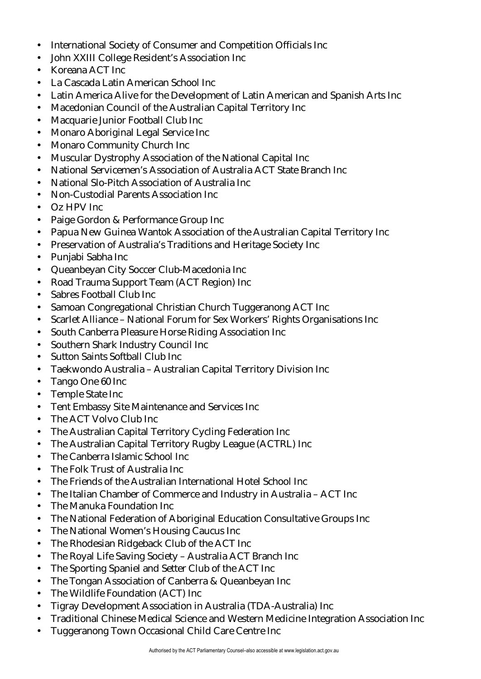- International Society of Consumer and Competition Officials Inc
- John XXIII College Resident's Association Inc
- Koreana ACT Inc
- La Cascada Latin American School Inc
- Latin America Alive for the Development of Latin American and Spanish Arts Inc
- Macedonian Council of the Australian Capital Territory Inc
- Macquarie Junior Football Club Inc
- Monaro Aboriginal Legal Service Inc
- Monaro Community Church Inc
- Muscular Dystrophy Association of the National Capital Inc
- National Servicemen's Association of Australia ACT State Branch Inc
- National Slo-Pitch Association of Australia Inc.
- Non-Custodial Parents Association Inc
- Oz HPV Inc
- Paige Gordon & Performance Group Inc
- Papua New Guinea Wantok Association of the Australian Capital Territory Inc
- Preservation of Australia's Traditions and Heritage Society Inc
- Punjabi Sabha Inc
- Queanbeyan City Soccer Club-Macedonia Inc
- Road Trauma Support Team (ACT Region) Inc
- Sabres Football Club Inc
- Samoan Congregational Christian Church Tuggeranong ACT Inc
- Scarlet Alliance National Forum for Sex Workers' Rights Organisations Inc
- South Canberra Pleasure Horse Riding Association Inc
- Southern Shark Industry Council Inc
- Sutton Saints Softball Club Inc
- Taekwondo Australia Australian Capital Territory Division Inc
- Tango One 60 Inc
- Temple State Inc
- Tent Embassy Site Maintenance and Services Inc
- The ACT Volvo Club Inc
- The Australian Capital Territory Cycling Federation Inc
- The Australian Capital Territory Rugby League (ACTRL) Inc
- The Canberra Islamic School Inc
- The Folk Trust of Australia Inc
- The Friends of the Australian International Hotel School Inc
- The Italian Chamber of Commerce and Industry in Australia ACT Inc
- The Manuka Foundation Inc
- The National Federation of Aboriginal Education Consultative Groups Inc
- The National Women's Housing Caucus Inc
- The Rhodesian Ridgeback Club of the ACT Inc
- The Royal Life Saving Society Australia ACT Branch Inc
- The Sporting Spaniel and Setter Club of the ACT Inc
- The Tongan Association of Canberra & Queanbeyan Inc
- The Wildlife Foundation (ACT) Inc
- Tigray Development Association in Australia (TDA-Australia) Inc
- Traditional Chinese Medical Science and Western Medicine Integration Association Inc
- Tuggeranong Town Occasional Child Care Centre Inc